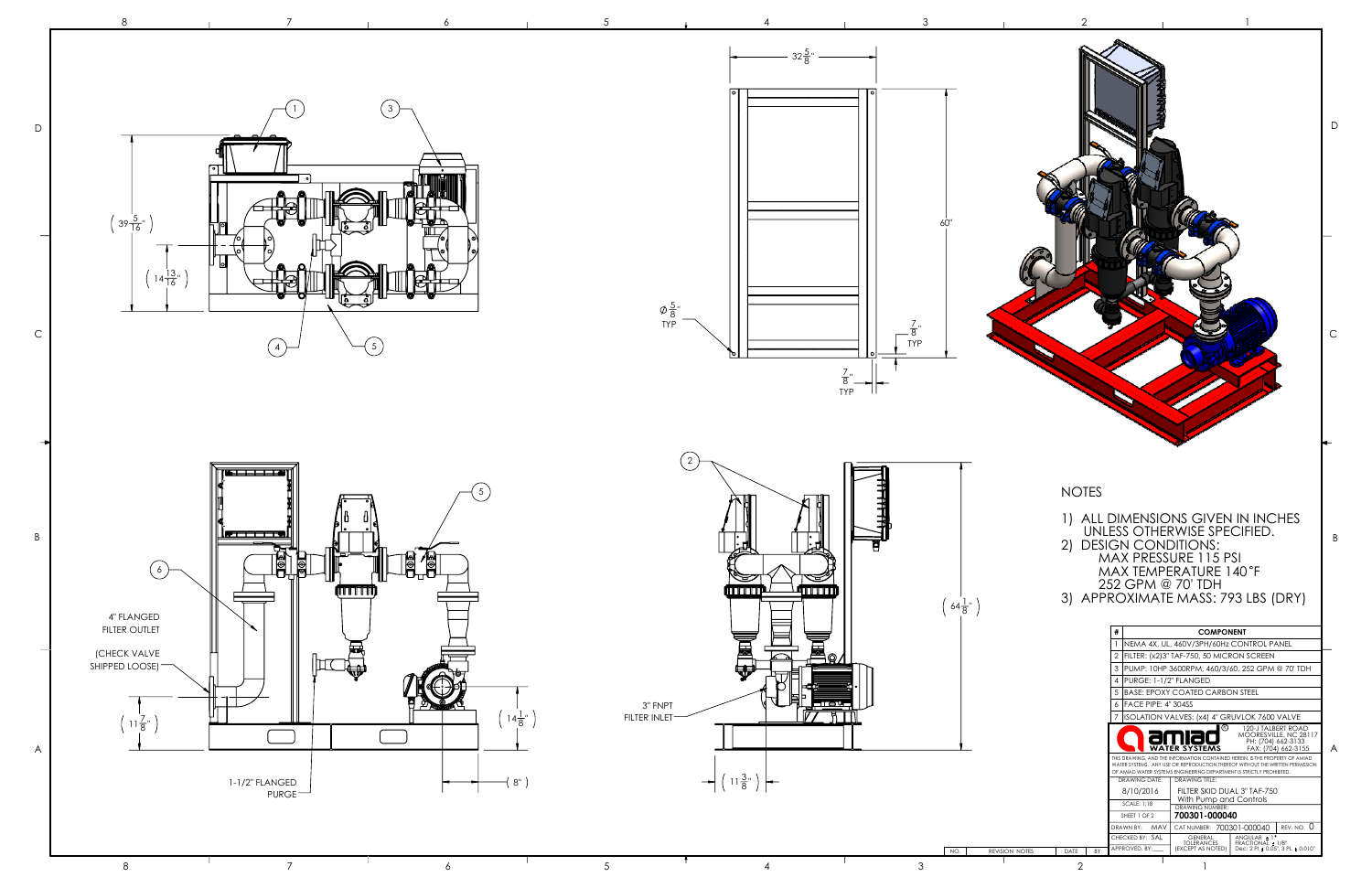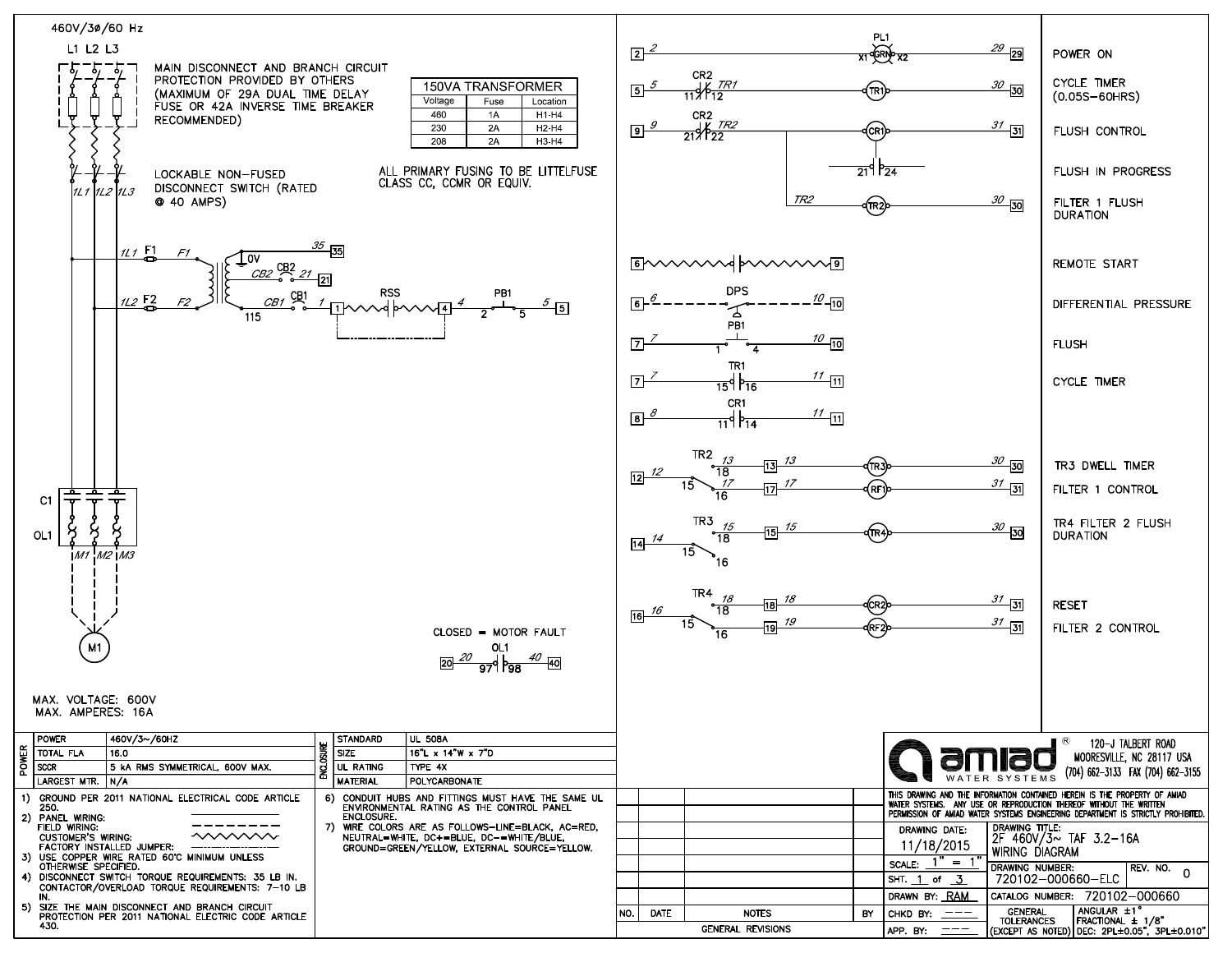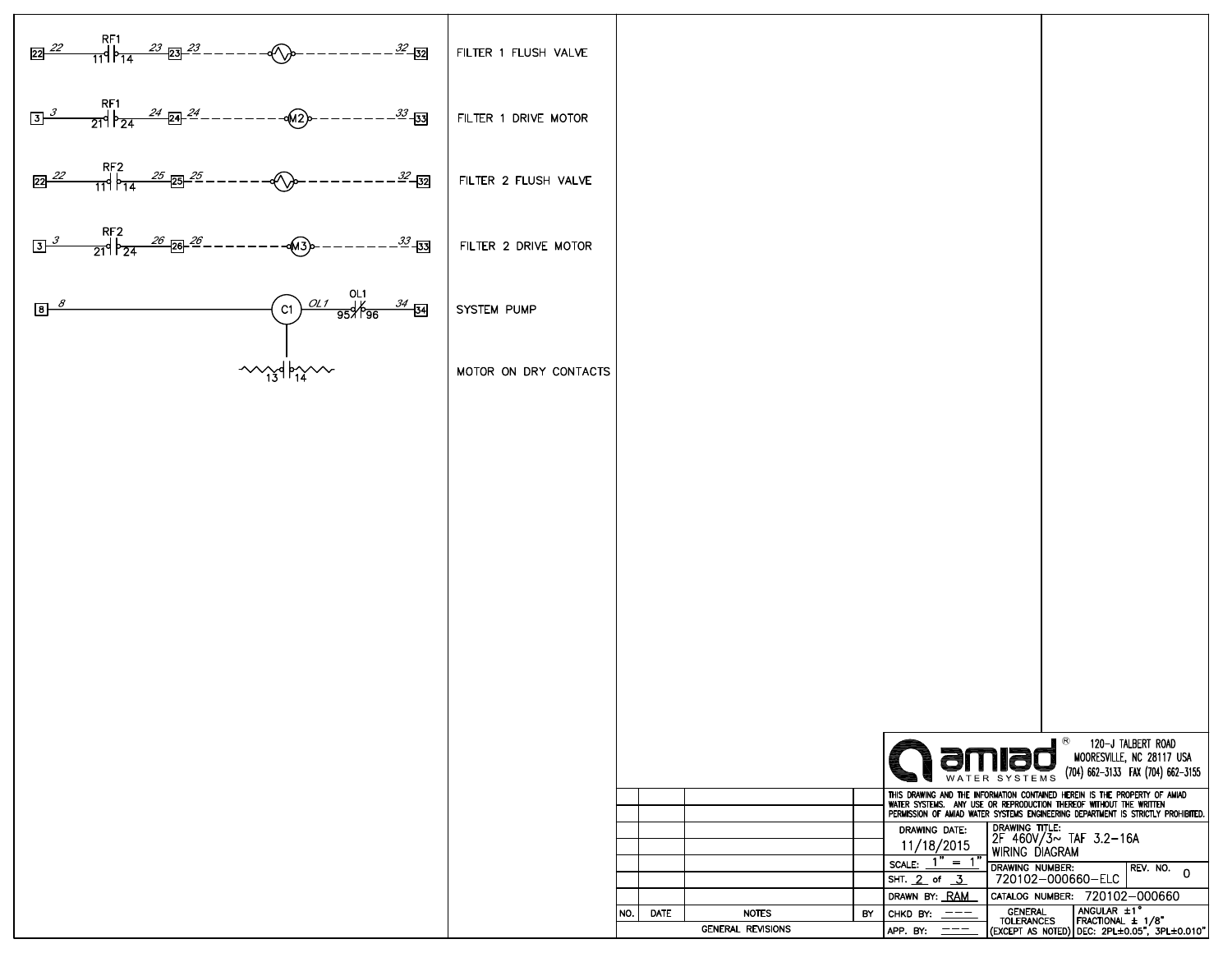